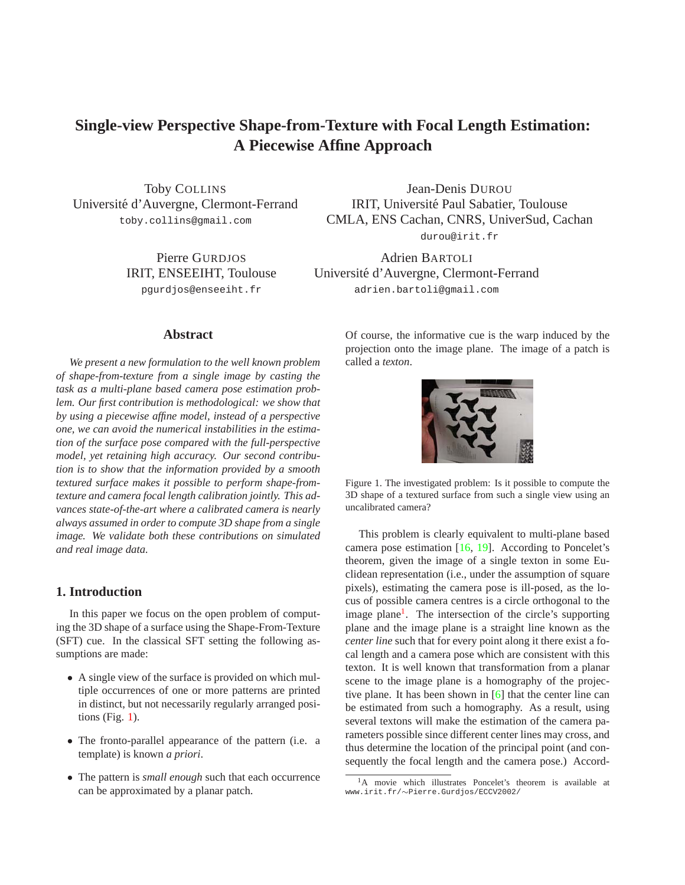# <span id="page-0-2"></span>**Single-view Perspective Shape-from-Texture with Focal Length Estimation: A Piecewise Affine Approach**

Toby COLLINS Universite d'Auvergne, Clermont-Ferrand ´ toby.collins@gmail.com

> Pierre GURDJOS IRIT, ENSEEIHT, Toulouse pgurdjos@enseeiht.fr

Jean-Denis DUROU IRIT, Universite Paul Sabatier, Toulouse ´ CMLA, ENS Cachan, CNRS, UniverSud, Cachan durou@irit.fr

Adrien BARTOLI Universite d'Auvergne, Clermont-Ferrand ´ adrien.bartoli@gmail.com

# **Abstract**

*We present a new formulation to the well known problem of shape-from-texture from a single image by casting the task as a multi-plane based camera pose estimation problem. Our first contribution is methodological: we show that by using a piecewise affine model, instead of a perspective one, we can avoid the numerical instabilities in the estimation of the surface pose compared with the full-perspective model, yet retaining high accuracy. Our second contribution is to show that the information provided by a smooth textured surface makes it possible to perform shape-fromtexture and camera focal length calibration jointly. This advances state-of-the-art where a calibrated camera is nearly always assumed in order to compute 3D shape from a single image. We validate both these contributions on simulated and real image data.*

# **1. Introduction**

In this paper we focus on the open problem of computing the 3D shape of a surface using the Shape-From-Texture (SFT) cue. In the classical SFT setting the following assumptions are made:

- A single view of the surface is provided on which multiple occurrences of one or more patterns are printed in distinct, but not necessarily regularly arranged positions (Fig. [1\)](#page-0-0).
- The fronto-parallel appearance of the pattern (i.e. a template) is known *a priori*.
- The pattern is *small enough* such that each occurrence can be approximated by a planar patch.

Of course, the informative cue is the warp induced by the projection onto the image plane. The image of a patch is called a *texton*.



<span id="page-0-0"></span>

This problem is clearly equivalent to multi-plane based camera pose estimation [\[16,](#page-7-0) [19\]](#page-7-1). According to Poncelet's theorem, given the image of a single texton in some Euclidean representation (i.e., under the assumption of square pixels), estimating the camera pose is ill-posed, as the locus of possible camera centres is a circle orthogonal to the image plane<sup>[1](#page-0-1)</sup>. The intersection of the circle's supporting plane and the image plane is a straight line known as the *center line* such that for every point along it there exist a focal length and a camera pose which are consistent with this texton. It is well known that transformation from a planar scene to the image plane is a homography of the projective plane. It has been shown in [\[6\]](#page-6-0) that the center line can be estimated from such a homography. As a result, using several textons will make the estimation of the camera parameters possible since different center lines may cross, and thus determine the location of the principal point (and consequently the focal length and the camera pose.) Accord-

<span id="page-0-1"></span><sup>&</sup>lt;sup>1</sup>A movie which illustrates Poncelet's theorem is available at www.irit.fr/∼Pierre.Gurdjos/ECCV2002/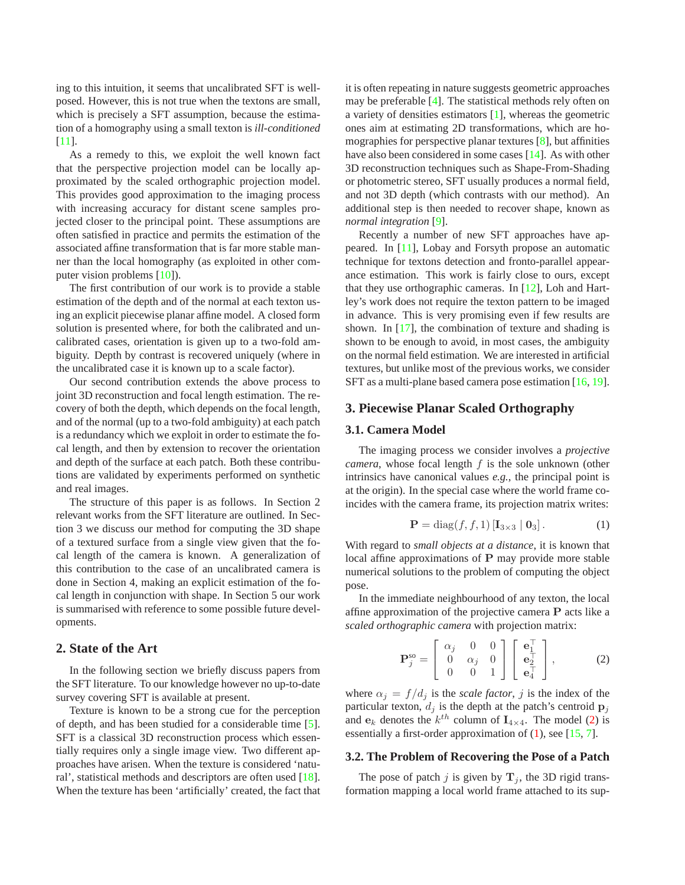<span id="page-1-3"></span>ing to this intuition, it seems that uncalibrated SFT is wellposed. However, this is not true when the textons are small, which is precisely a SFT assumption, because the estimation of a homography using a small texton is *ill-conditioned* [\[11\]](#page-7-2).

As a remedy to this, we exploit the well known fact that the perspective projection model can be locally approximated by the scaled orthographic projection model. This provides good approximation to the imaging process with increasing accuracy for distant scene samples projected closer to the principal point. These assumptions are often satisfied in practice and permits the estimation of the associated affine transformation that is far more stable manner than the local homography (as exploited in other computer vision problems [\[10\]](#page-7-3)).

The first contribution of our work is to provide a stable estimation of the depth and of the normal at each texton using an explicit piecewise planar affine model. A closed form solution is presented where, for both the calibrated and uncalibrated cases, orientation is given up to a two-fold ambiguity. Depth by contrast is recovered uniquely (where in the uncalibrated case it is known up to a scale factor).

Our second contribution extends the above process to joint 3D reconstruction and focal length estimation. The recovery of both the depth, which depends on the focal length, and of the normal (up to a two-fold ambiguity) at each patch is a redundancy which we exploit in order to estimate the focal length, and then by extension to recover the orientation and depth of the surface at each patch. Both these contributions are validated by experiments performed on synthetic and real images.

The structure of this paper is as follows. In Section 2 relevant works from the SFT literature are outlined. In Section 3 we discuss our method for computing the 3D shape of a textured surface from a single view given that the focal length of the camera is known. A generalization of this contribution to the case of an uncalibrated camera is done in Section 4, making an explicit estimation of the focal length in conjunction with shape. In Section 5 our work is summarised with reference to some possible future developments.

# **2. State of the Art**

In the following section we briefly discuss papers from the SFT literature. To our knowledge however no up-to-date survey covering SFT is available at present.

Texture is known to be a strong cue for the perception of depth, and has been studied for a considerable time [\[5\]](#page-6-1). SFT is a classical 3D reconstruction process which essentially requires only a single image view. Two different approaches have arisen. When the texture is considered 'natural', statistical methods and descriptors are often used [\[18\]](#page-7-4). When the texture has been 'artificially' created, the fact that it is often repeating in nature suggests geometric approaches may be preferable [\[4\]](#page-6-2). The statistical methods rely often on a variety of densities estimators [\[1\]](#page-6-3), whereas the geometric ones aim at estimating 2D transformations, which are homographies for perspective planar textures [\[8\]](#page-6-4), but affinities have also been considered in some cases [\[14\]](#page-7-5). As with other 3D reconstruction techniques such as Shape-From-Shading or photometric stereo, SFT usually produces a normal field, and not 3D depth (which contrasts with our method). An additional step is then needed to recover shape, known as *normal integration* [\[9\]](#page-6-5).

Recently a number of new SFT approaches have appeared. In [\[11\]](#page-7-2), Lobay and Forsyth propose an automatic technique for textons detection and fronto-parallel appearance estimation. This work is fairly close to ours, except that they use orthographic cameras. In [\[12\]](#page-7-6), Loh and Hartley's work does not require the texton pattern to be imaged in advance. This is very promising even if few results are shown. In [\[17\]](#page-7-7), the combination of texture and shading is shown to be enough to avoid, in most cases, the ambiguity on the normal field estimation. We are interested in artificial textures, but unlike most of the previous works, we consider SFT as a multi-plane based camera pose estimation [\[16,](#page-7-0) [19\]](#page-7-1).

## **3. Piecewise Planar Scaled Orthography**

## **3.1. Camera Model**

The imaging process we consider involves a *projective camera*, whose focal length  $f$  is the sole unknown (other intrinsics have canonical values *e.g.*, the principal point is at the origin). In the special case where the world frame coincides with the camera frame, its projection matrix writes:

<span id="page-1-1"></span>
$$
\mathbf{P} = \text{diag}(f, f, 1) \left[ \mathbf{I}_{3 \times 3} \mid \mathbf{0}_{3} \right]. \tag{1}
$$

With regard to *small objects at a distance*, it is known that local affine approximations of P may provide more stable numerical solutions to the problem of computing the object pose.

In the immediate neighbourhood of any texton, the local affine approximation of the projective camera  $P$  acts like a *scaled orthographic camera* with projection matrix:

<span id="page-1-0"></span>
$$
\mathbf{P}_{j}^{\text{so}} = \left[ \begin{array}{ccc} \alpha_{j} & 0 & 0 \\ 0 & \alpha_{j} & 0 \\ 0 & 0 & 1 \end{array} \right] \left[ \begin{array}{c} \mathbf{e}_{1}^{\top} \\ \mathbf{e}_{2}^{\top} \\ \mathbf{e}_{4}^{\top} \end{array} \right],\tag{2}
$$

where  $\alpha_j = f/d_j$  is the *scale factor*, j is the index of the particular texton,  $d_j$  is the depth at the patch's centroid  $\mathbf{p}_j$ and  $e_k$  denotes the  $k^{th}$  column of  $I_{4 \times 4}$ . The model [\(2\)](#page-1-0) is essentially a first-order approximation of  $(1)$ , see [\[15,](#page-7-8) [7\]](#page-6-6).

#### <span id="page-1-2"></span>**3.2. The Problem of Recovering the Pose of a Patch**

The pose of patch j is given by  $T_i$ , the 3D rigid transformation mapping a local world frame attached to its sup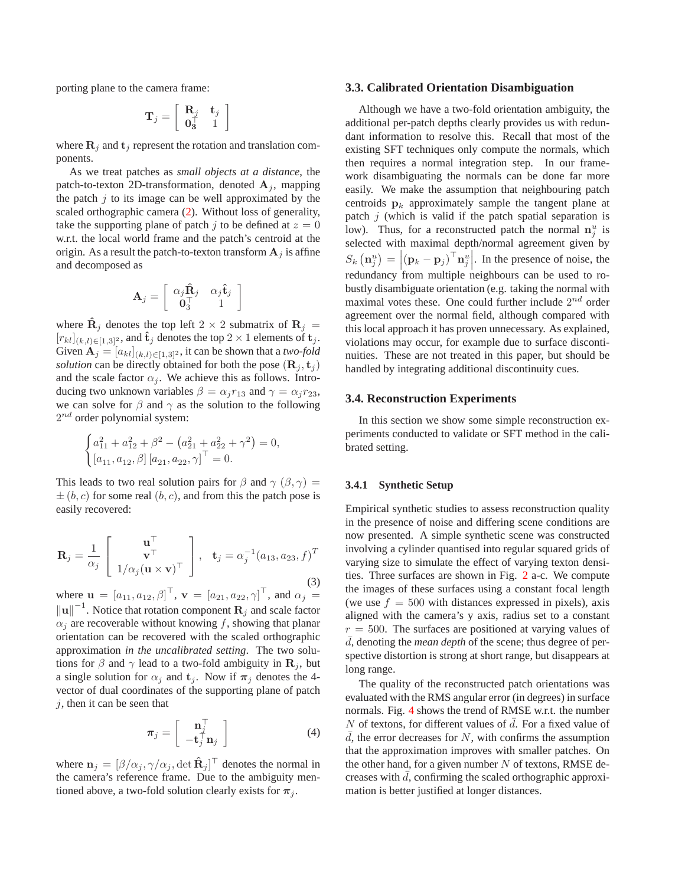porting plane to the camera frame:

$$
\mathbf{T}_j = \left[ \begin{array}{cc} \mathbf{R}_j & \mathbf{t}_j \\ \mathbf{0}_3^\top & 1 \end{array} \right]
$$

where  $\mathbf{R}_i$  and  $\mathbf{t}_i$  represent the rotation and translation components.

As we treat patches as *small objects at a distance*, the patch-to-texton 2D-transformation, denoted  $A_i$ , mapping the patch  $j$  to its image can be well approximated by the scaled orthographic camera [\(2\)](#page-1-0). Without loss of generality, take the supporting plane of patch j to be defined at  $z = 0$ w.r.t. the local world frame and the patch's centroid at the origin. As a result the patch-to-texton transform  $A_i$  is affine and decomposed as

$$
\mathbf{A}_j = \left[ \begin{array}{cc} \alpha_j \mathbf{\hat{R}}_j & \alpha_j \mathbf{\hat{t}}_j \\ \mathbf{0}_3^\top & 1 \end{array} \right]
$$

where  $\hat{\mathbf{R}}_j$  denotes the top left 2  $\times$  2 submatrix of  $\mathbf{R}_j$  =  $[r_{kl}]_{(k,l)\in[1,3]^2}$ , and  $\hat{\mathbf{t}}_j$  denotes the top  $2\times 1$  elements of  $\mathbf{t}_j$ . Given  $A_j = [a_{kl}]_{(k,l) \in [1,3]^2}$ , it can be shown that a *two-fold solution* can be directly obtained for both the pose  $(\mathbf{R}_i, \mathbf{t}_i)$ and the scale factor  $\alpha_i$ . We achieve this as follows. Introducing two unknown variables  $\beta = \alpha_i r_{13}$  and  $\gamma = \alpha_i r_{23}$ , we can solve for  $\beta$  and  $\gamma$  as the solution to the following  $2^{nd}$  order polynomial system:

$$
\begin{cases} a_{11}^2 + a_{12}^2 + \beta^2 - (a_{21}^2 + a_{22}^2 + \gamma^2) = 0, \\ [a_{11}, a_{12}, \beta] [a_{21}, a_{22}, \gamma]^\top = 0. \end{cases}
$$

This leads to two real solution pairs for  $\beta$  and  $\gamma$  ( $\beta$ ,  $\gamma$ ) =  $\pm (b, c)$  for some real  $(b, c)$ , and from this the patch pose is easily recovered:

$$
\mathbf{R}_{j} = \frac{1}{\alpha_{j}} \begin{bmatrix} \mathbf{u}^{\top} \\ \mathbf{v}^{\top} \\ 1/\alpha_{j}(\mathbf{u} \times \mathbf{v})^{\top} \end{bmatrix}, \quad \mathbf{t}_{j} = \alpha_{j}^{-1}(a_{13}, a_{23}, f)^{T}
$$
\n(3)

where  $\mathbf{u} = [a_{11}, a_{12}, \beta]^\top$ ,  $\mathbf{v} = [a_{21}, a_{22}, \gamma]^\top$ , and  $\alpha_j =$  $\left\Vert \mathbf{u} \right\Vert^{-1}$ . Notice that rotation component  $\mathbf{R}_j$  and scale factor  $\alpha_i$  are recoverable without knowing f, showing that planar orientation can be recovered with the scaled orthographic approximation *in the uncalibrated setting*. The two solutions for  $\beta$  and  $\gamma$  lead to a two-fold ambiguity in  $\mathbf{R}_j$ , but a single solution for  $\alpha_i$  and  $t_i$ . Now if  $\pi_i$  denotes the 4vector of dual coordinates of the supporting plane of patch  $j$ , then it can be seen that

<span id="page-2-0"></span>
$$
\boldsymbol{\pi}_j = \left[ \begin{array}{c} \mathbf{n}_j^{\top} \\ -\mathbf{t}_j^{\top} \mathbf{n}_j \end{array} \right] \tag{4}
$$

where  $\mathbf{n}_j = [\beta/\alpha_j, \gamma/\alpha_j, \det \mathbf{\hat{R}}_j]^\top$  denotes the normal in the camera's reference frame. Due to the ambiguity mentioned above, a two-fold solution clearly exists for  $\pi_j$ .

#### **3.3. Calibrated Orientation Disambiguation**

Although we have a two-fold orientation ambiguity, the additional per-patch depths clearly provides us with redundant information to resolve this. Recall that most of the existing SFT techniques only compute the normals, which then requires a normal integration step. In our framework disambiguating the normals can be done far more easily. We make the assumption that neighbouring patch centroids  $p_k$  approximately sample the tangent plane at patch  $j$  (which is valid if the patch spatial separation is low). Thus, for a reconstructed patch the normal  $n_j^u$  is selected with maximal depth/normal agreement given by  $S_k(\mathbf{n}_j^u) = |(\mathbf{p}_k - \mathbf{p}_j)^\top \mathbf{n}_j^u|$ . In the presence of noise, the redundancy from multiple neighbours can be used to robustly disambiguate orientation (e.g. taking the normal with maximal votes these. One could further include  $2^{nd}$  order agreement over the normal field, although compared with this local approach it has proven unnecessary. As explained, violations may occur, for example due to surface discontinuities. These are not treated in this paper, but should be handled by integrating additional discontinuity cues.

### **3.4. Reconstruction Experiments**

In this section we show some simple reconstruction experiments conducted to validate or SFT method in the calibrated setting.

## **3.4.1 Synthetic Setup**

Empirical synthetic studies to assess reconstruction quality in the presence of noise and differing scene conditions are now presented. A simple synthetic scene was constructed involving a cylinder quantised into regular squared grids of varying size to simulate the effect of varying texton densities. Three surfaces are shown in Fig. [2](#page-3-0) a-c. We compute the images of these surfaces using a constant focal length (we use  $f = 500$  with distances expressed in pixels), axis aligned with the camera's y axis, radius set to a constant  $r = 500$ . The surfaces are positioned at varying values of d, denoting the *mean depth* of the scene; thus degree of perspective distortion is strong at short range, but disappears at long range.

The quality of the reconstructed patch orientations was evaluated with the RMS angular error (in degrees) in surface normals. Fig. [4](#page-3-1) shows the trend of RMSE w.r.t. the number N of textons, for different values of  $\bar{d}$ . For a fixed value of  $\overline{d}$ , the error decreases for N, with confirms the assumption that the approximation improves with smaller patches. On the other hand, for a given number  $N$  of textons, RMSE decreases with  $d$ , confirming the scaled orthographic approximation is better justified at longer distances.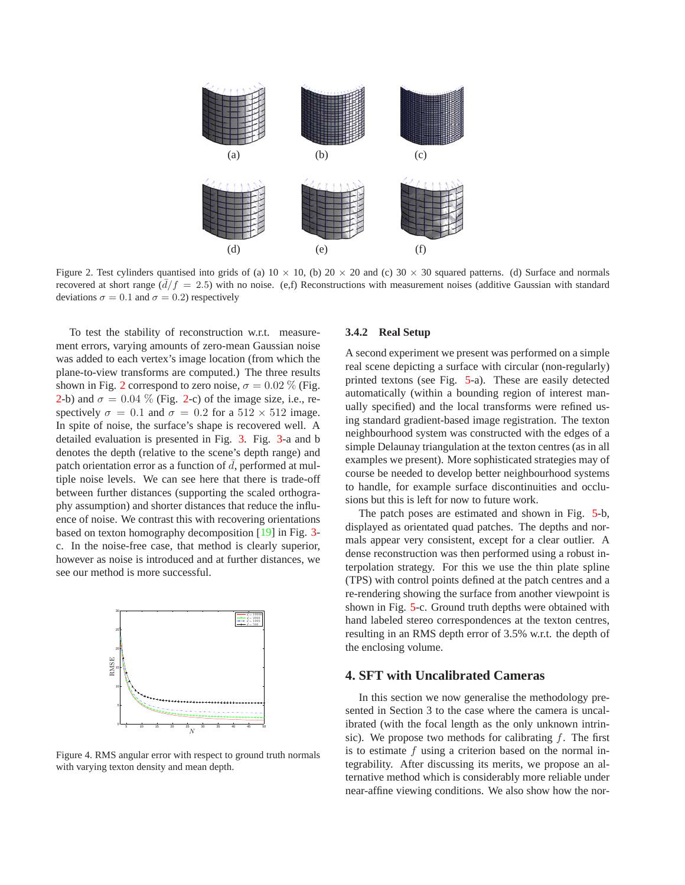<span id="page-3-2"></span>

<span id="page-3-0"></span>Figure 2. Test cylinders quantised into grids of (a)  $10 \times 10$ , (b)  $20 \times 20$  and (c)  $30 \times 30$  squared patterns. (d) Surface and normals recovered at short range  $(d/f = 2.5)$  with no noise. (e,f) Reconstructions with measurement noises (additive Gaussian with standard deviations  $\sigma = 0.1$  and  $\sigma = 0.2$ ) respectively

To test the stability of reconstruction w.r.t. measurement errors, varying amounts of zero-mean Gaussian noise was added to each vertex's image location (from which the plane-to-view transforms are computed.) The three results shown in Fig. [2](#page-3-0) correspond to zero noise,  $\sigma = 0.02\%$  (Fig. [2-](#page-3-0)b) and  $\sigma = 0.04$  % (Fig. 2-c) of the image size, i.e., respectively  $\sigma = 0.1$  and  $\sigma = 0.2$  for a  $512 \times 512$  image. In spite of noise, the surface's shape is recovered well. A detailed evaluation is presented in Fig. [3.](#page-4-0) Fig. [3-](#page-4-0)a and b denotes the depth (relative to the scene's depth range) and patch orientation error as a function of  $\overline{d}$ , performed at multiple noise levels. We can see here that there is trade-off between further distances (supporting the scaled orthography assumption) and shorter distances that reduce the influence of noise. We contrast this with recovering orientations based on texton homography decomposition [\[19\]](#page-7-1) in Fig. [3](#page-4-0) c. In the noise-free case, that method is clearly superior, however as noise is introduced and at further distances, we see our method is more successful.



<span id="page-3-1"></span>Figure 4. RMS angular error with respect to ground truth normals with varying texton density and mean depth.

## **3.4.2 Real Setup**

A second experiment we present was performed on a simple real scene depicting a surface with circular (non-regularly) printed textons (see Fig. [5-](#page-4-1)a). These are easily detected automatically (within a bounding region of interest manually specified) and the local transforms were refined using standard gradient-based image registration. The texton neighbourhood system was constructed with the edges of a simple Delaunay triangulation at the texton centres (as in all examples we present). More sophisticated strategies may of course be needed to develop better neighbourhood systems to handle, for example surface discontinuities and occlusions but this is left for now to future work.

The patch poses are estimated and shown in Fig. [5-](#page-4-1)b, displayed as orientated quad patches. The depths and normals appear very consistent, except for a clear outlier. A dense reconstruction was then performed using a robust interpolation strategy. For this we use the thin plate spline (TPS) with control points defined at the patch centres and a re-rendering showing the surface from another viewpoint is shown in Fig. [5-](#page-4-1)c. Ground truth depths were obtained with hand labeled stereo correspondences at the texton centres, resulting in an RMS depth error of 3.5% w.r.t. the depth of the enclosing volume.

# **4. SFT with Uncalibrated Cameras**

In this section we now generalise the methodology presented in Section 3 to the case where the camera is uncalibrated (with the focal length as the only unknown intrinsic). We propose two methods for calibrating  $f$ . The first is to estimate  $f$  using a criterion based on the normal integrability. After discussing its merits, we propose an alternative method which is considerably more reliable under near-affine viewing conditions. We also show how the nor-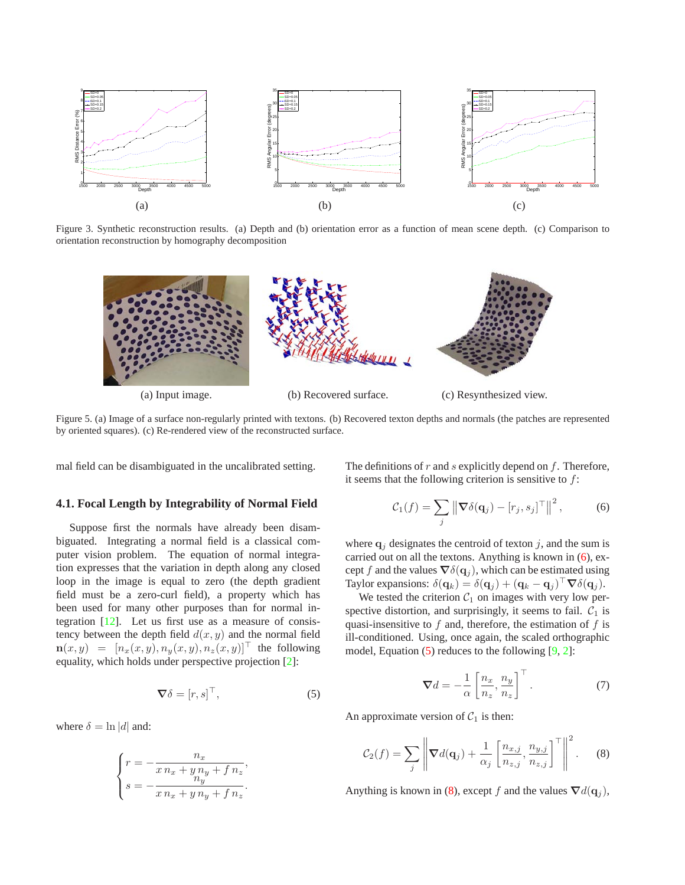<span id="page-4-7"></span>

Figure 3. Synthetic reconstruction results. (a) Depth and (b) orientation error as a function of mean scene depth. (c) Comparison to orientation reconstruction by homography decomposition

<span id="page-4-0"></span>

<span id="page-4-1"></span>Figure 5. (a) Image of a surface non-regularly printed with textons. (b) Recovered texton depths and normals (the patches are represented by oriented squares). (c) Re-rendered view of the reconstructed surface.

mal field can be disambiguated in the uncalibrated setting.

## <span id="page-4-6"></span>**4.1. Focal Length by Integrability of Normal Field**

Suppose first the normals have already been disambiguated. Integrating a normal field is a classical computer vision problem. The equation of normal integration expresses that the variation in depth along any closed loop in the image is equal to zero (the depth gradient field must be a zero-curl field), a property which has been used for many other purposes than for normal integration [\[12\]](#page-7-6). Let us first use as a measure of consistency between the depth field  $d(x, y)$  and the normal field  $\mathbf{n}(x, y) = [n_x(x, y), n_y(x, y), n_z(x, y)]^\top$  the following equality, which holds under perspective projection [\[2\]](#page-6-7):

<span id="page-4-3"></span>
$$
\nabla \delta = [r, s]^\top,\tag{5}
$$

where  $\delta = \ln |d|$  and:

$$
\begin{cases}\nr = -\frac{n_x}{x n_x + y n_y + f n_z}, \\
s = -\frac{n_y}{x n_x + y n_y + f n_z}.\n\end{cases}
$$

The definitions of  $r$  and  $s$  explicitly depend on  $f$ . Therefore, it seems that the following criterion is sensitive to  $f$ :

<span id="page-4-2"></span>
$$
C_1(f) = \sum_j \left\| \nabla \delta(\mathbf{q}_j) - [r_j, s_j]^\top \right\|^2, \tag{6}
$$

where  $q_i$  designates the centroid of texton j, and the sum is carried out on all the textons. Anything is known in  $(6)$ , except f and the values  $\nabla \delta(\mathbf{q}_i)$ , which can be estimated using Taylor expansions:  $\delta(\mathbf{q}_k) = \delta(\mathbf{q}_j) + (\mathbf{q}_k - \mathbf{q}_j)^\top \nabla \delta(\mathbf{q}_j)$ .

We tested the criterion  $C_1$  on images with very low perspective distortion, and surprisingly, it seems to fail.  $C_1$  is quasi-insensitive to  $f$  and, therefore, the estimation of  $f$  is ill-conditioned. Using, once again, the scaled orthographic model, Equation  $(5)$  reduces to the following  $[9, 2]$  $[9, 2]$ :

<span id="page-4-5"></span>
$$
\nabla d = -\frac{1}{\alpha} \left[ \frac{n_x}{n_z}, \frac{n_y}{n_z} \right]^\top.
$$
 (7)

An approximate version of  $C_1$  is then:

<span id="page-4-4"></span>
$$
C_2(f) = \sum_j \left\| \nabla d(\mathbf{q}_j) + \frac{1}{\alpha_j} \left[ \frac{n_{x,j}}{n_{z,j}}, \frac{n_{y,j}}{n_{z,j}} \right]^\top \right\|^2. \tag{8}
$$

Anything is known in [\(8\)](#page-4-4), except f and the values  $\nabla d(\mathbf{q}_i)$ ,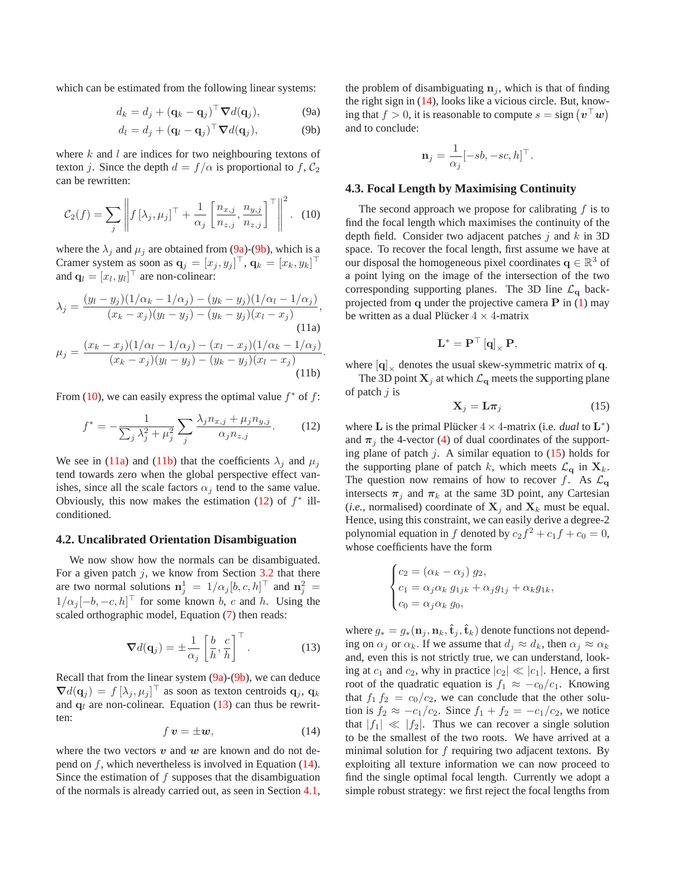which can be estimated from the following linear systems:

$$
d_k = d_j + (\mathbf{q}_k - \mathbf{q}_j)^\top \nabla d(\mathbf{q}_j),
$$
 (9a)

$$
d_l = d_j + (\mathbf{q}_l - \mathbf{q}_j)^\top \nabla d(\mathbf{q}_j),
$$
 (9b)

where  $k$  and  $l$  are indices for two neighbouring textons of texton j. Since the depth  $d = f/\alpha$  is proportional to f,  $C_2$ can be rewritten:

<span id="page-5-2"></span>
$$
C_2(f) = \sum_j \left\| f\left[\lambda_j, \mu_j\right]^\top + \frac{1}{\alpha_j} \left[\frac{n_{x,j}}{n_{z,j}}, \frac{n_{y,j}}{n_{z,j}}\right]^\top \right\|^2. \tag{10}
$$

where the  $\lambda_j$  and  $\mu_j$  are obtained from [\(9a\)](#page-5-0)-[\(9b\)](#page-5-1), which is a Cramer system as soon as  $\mathbf{q}_j = [x_j, y_j]^\top$ ,  $\mathbf{q}_k = [x_k, y_k]^\top$ and  $\mathbf{q}_l = [x_l, y_l]^\top$  are non-colinear.

$$
\lambda_j = \frac{(y_l - y_j)(1/\alpha_k - 1/\alpha_j) - (y_k - y_j)(1/\alpha_l - 1/\alpha_j)}{(x_k - x_j)(y_l - y_j) - (y_k - y_j)(x_l - x_j)},
$$
\n(11a)  
\n
$$
\mu_j = \frac{(x_k - x_j)(1/\alpha_l - 1/\alpha_j) - (x_l - x_j)(1/\alpha_k - 1/\alpha_j)}{(x_k - x_j)(y_l - y_j) - (y_k - y_j)(x_l - x_j)}.
$$
\n(11b)

From [\(10\)](#page-5-2), we can easily express the optimal value  $f^*$  of  $f$ :

<span id="page-5-5"></span>
$$
f^* = -\frac{1}{\sum_j \lambda_j^2 + \mu_j^2} \sum_j \frac{\lambda_j n_{x,j} + \mu_j n_{y,j}}{\alpha_j n_{z,j}}.
$$
 (12)

We see in [\(11a\)](#page-5-3) and [\(11b\)](#page-5-4) that the coefficients  $\lambda_i$  and  $\mu_i$ tend towards zero when the global perspective effect vanishes, since all the scale factors  $\alpha_i$  tend to the same value. Obviously, this now makes the estimation  $(12)$  of  $f^*$  illconditioned.

### **4.2. Uncalibrated Orientation Disambiguation**

We now show how the normals can be disambiguated. For a given patch  $j$ , we know from Section [3.2](#page-1-2) that there are two normal solutions  $\mathbf{n}_j^1 = 1/\alpha_j [b, c, h]^\top$  and  $\mathbf{n}_j^2 =$  $1/\alpha_j[-b,-c,h]^\top$  for some known b, c and h. Using the scaled orthographic model, Equation [\(7\)](#page-4-5) then reads:

<span id="page-5-6"></span>
$$
\nabla d(\mathbf{q}_j) = \pm \frac{1}{\alpha_j} \left[ \frac{b}{h}, \frac{c}{h} \right]^\top.
$$
 (13)

Recall that from the linear system  $(9a)-(9b)$  $(9a)-(9b)$ , we can deduce  $\nabla d(\mathbf{q}_j) = f[\lambda_j, \mu_j]^\top$  as soon as texton centroids  $\mathbf{q}_j, \mathbf{q}_k$ and  $q_l$  are non-colinear. Equation [\(13\)](#page-5-6) can thus be rewritten:

<span id="page-5-7"></span>
$$
f\,\boldsymbol{v} = \pm \boldsymbol{w},\tag{14}
$$

where the two vectors  $v$  and  $w$  are known and do not depend on f, which nevertheless is involved in Equation [\(14\)](#page-5-7). Since the estimation of  $f$  supposes that the disambiguation of the normals is already carried out, as seen in Section [4.1,](#page-4-6) <span id="page-5-1"></span><span id="page-5-0"></span>the problem of disambiguating  $n_i$ , which is that of finding the right sign in [\(14\)](#page-5-7), looks like a vicious circle. But, knowing that  $f > 0$ , it is reasonable to compute  $s = sign(v^{\top}w)$ and to conclude:

$$
\mathbf{n}_j = \frac{1}{\alpha_j} [-sb, -sc, h]^\top.
$$

#### **4.3. Focal Length by Maximising Continuity**

The second approach we propose for calibrating  $f$  is to find the focal length which maximises the continuity of the depth field. Consider two adjacent patches  $j$  and  $k$  in 3D space. To recover the focal length, first assume we have at our disposal the homogeneous pixel coordinates  $q \in \mathbb{R}^3$  of a point lying on the image of the intersection of the two corresponding supporting planes. The 3D line  $\mathcal{L}_{q}$  backprojected from  $q$  under the projective camera  $P$  in [\(1\)](#page-1-1) may be written as a dual Plücker  $4 \times 4$ -matrix

$$
\mathbf{L}^*=\mathbf{P}^\top\left[\mathbf{q}\right]_\times\mathbf{P},
$$

<span id="page-5-4"></span><span id="page-5-3"></span>where  $|{\bf q}|_{\times}$  denotes the usual skew-symmetric matrix of q.

The 3D point  $X_j$  at which  $\mathcal{L}_{q}$  meets the supporting plane of patch  $j$  is

<span id="page-5-8"></span>
$$
\mathbf{X}_{j} = \mathbf{L}\boldsymbol{\pi}_{j} \tag{15}
$$

where **L** is the primal Plücker  $4 \times 4$ -matrix (i.e. *dual* to  $L^*$ ) and  $\pi_i$  the 4-vector [\(4\)](#page-2-0) of dual coordinates of the supporting plane of patch j. A similar equation to  $(15)$  holds for the supporting plane of patch k, which meets  $\mathcal{L}_{q}$  in  $\mathbf{X}_{k}$ . The question now remains of how to recover f. As  $\mathcal{L}_{q}$ intersects  $\pi_i$  and  $\pi_k$  at the same 3D point, any Cartesian (*i.e.*, normalised) coordinate of  $X_i$  and  $X_k$  must be equal. Hence, using this constraint, we can easily derive a degree-2 polynomial equation in f denoted by  $c_2f^2 + c_1f + c_0 = 0$ , whose coefficients have the form

$$
\begin{cases} c_2 = (\alpha_k - \alpha_j) g_2, \\ c_1 = \alpha_j \alpha_k g_{1jk} + \alpha_j g_{1j} + \alpha_k g_{1k}, \\ c_0 = \alpha_j \alpha_k g_0, \end{cases}
$$

where  $g_* = g_*(\mathbf{n}_j, \mathbf{n}_k, \hat{\mathbf{t}}_j, \hat{\mathbf{t}}_k)$  denote functions not depending on  $\alpha_j$  or  $\alpha_k$ . If we assume that  $d_j \approx d_k$ , then  $\alpha_j \approx \alpha_k$ and, even this is not strictly true, we can understand, looking at  $c_1$  and  $c_2$ , why in practice  $|c_2| \ll |c_1|$ . Hence, a first root of the quadratic equation is  $f_1 \approx -c_0/c_1$ . Knowing that  $f_1 f_2 = c_0/c_2$ , we can conclude that the other solution is  $f_2 \approx -c_1/c_2$ . Since  $f_1 + f_2 = -c_1/c_2$ , we notice that  $|f_1| \ll |f_2|$ . Thus we can recover a single solution to be the smallest of the two roots. We have arrived at a minimal solution for  $f$  requiring two adjacent textons. By exploiting all texture information we can now proceed to find the single optimal focal length. Currently we adopt a simple robust strategy: we first reject the focal lengths from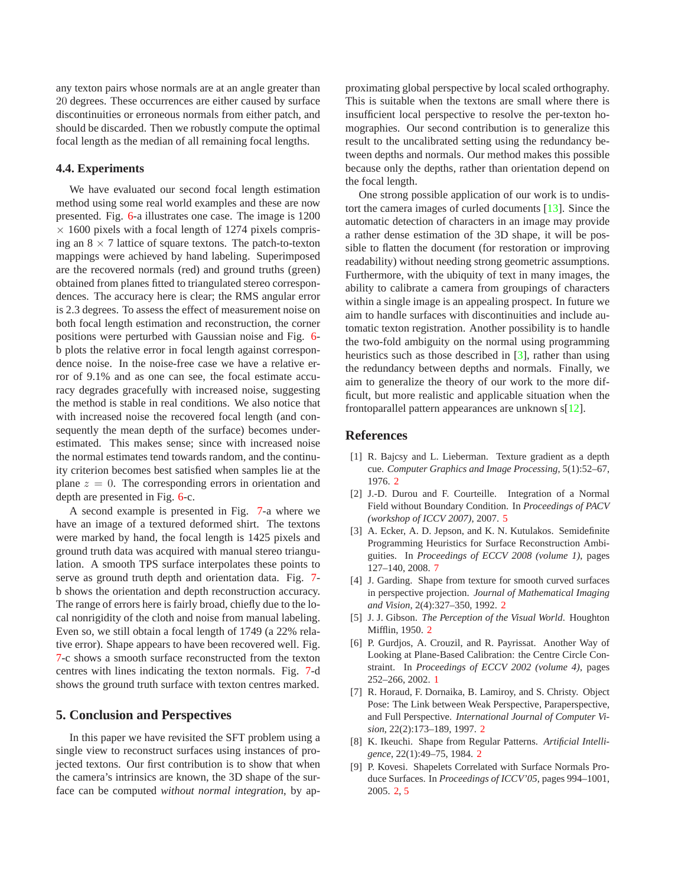<span id="page-6-9"></span>any texton pairs whose normals are at an angle greater than 20 degrees. These occurrences are either caused by surface discontinuities or erroneous normals from either patch, and should be discarded. Then we robustly compute the optimal focal length as the median of all remaining focal lengths.

## **4.4. Experiments**

We have evaluated our second focal length estimation method using some real world examples and these are now presented. Fig. [6-](#page-7-9)a illustrates one case. The image is 1200  $\times$  1600 pixels with a focal length of 1274 pixels comprising an  $8 \times 7$  lattice of square textons. The patch-to-texton mappings were achieved by hand labeling. Superimposed are the recovered normals (red) and ground truths (green) obtained from planes fitted to triangulated stereo correspondences. The accuracy here is clear; the RMS angular error is 2.3 degrees. To assess the effect of measurement noise on both focal length estimation and reconstruction, the corner positions were perturbed with Gaussian noise and Fig. [6](#page-7-9) b plots the relative error in focal length against correspondence noise. In the noise-free case we have a relative error of 9.1% and as one can see, the focal estimate accuracy degrades gracefully with increased noise, suggesting the method is stable in real conditions. We also notice that with increased noise the recovered focal length (and consequently the mean depth of the surface) becomes underestimated. This makes sense; since with increased noise the normal estimates tend towards random, and the continuity criterion becomes best satisfied when samples lie at the plane  $z = 0$ . The corresponding errors in orientation and depth are presented in Fig. [6-](#page-7-9)c.

A second example is presented in Fig. [7-](#page-7-10)a where we have an image of a textured deformed shirt. The textons were marked by hand, the focal length is 1425 pixels and ground truth data was acquired with manual stereo triangulation. A smooth TPS surface interpolates these points to serve as ground truth depth and orientation data. Fig. [7](#page-7-10) b shows the orientation and depth reconstruction accuracy. The range of errors here is fairly broad, chiefly due to the local nonrigidity of the cloth and noise from manual labeling. Even so, we still obtain a focal length of 1749 (a 22% relative error). Shape appears to have been recovered well. Fig. [7-](#page-7-10)c shows a smooth surface reconstructed from the texton centres with lines indicating the texton normals. Fig. [7-](#page-7-10)d shows the ground truth surface with texton centres marked.

# **5. Conclusion and Perspectives**

In this paper we have revisited the SFT problem using a single view to reconstruct surfaces using instances of projected textons. Our first contribution is to show that when the camera's intrinsics are known, the 3D shape of the surface can be computed *without normal integration*, by approximating global perspective by local scaled orthography. This is suitable when the textons are small where there is insufficient local perspective to resolve the per-texton homographies. Our second contribution is to generalize this result to the uncalibrated setting using the redundancy between depths and normals. Our method makes this possible because only the depths, rather than orientation depend on the focal length.

One strong possible application of our work is to undistort the camera images of curled documents [\[13\]](#page-7-11). Since the automatic detection of characters in an image may provide a rather dense estimation of the 3D shape, it will be possible to flatten the document (for restoration or improving readability) without needing strong geometric assumptions. Furthermore, with the ubiquity of text in many images, the ability to calibrate a camera from groupings of characters within a single image is an appealing prospect. In future we aim to handle surfaces with discontinuities and include automatic texton registration. Another possibility is to handle the two-fold ambiguity on the normal using programming heuristics such as those described in [\[3\]](#page-6-8), rather than using the redundancy between depths and normals. Finally, we aim to generalize the theory of our work to the more difficult, but more realistic and applicable situation when the frontoparallel pattern appearances are unknown s[\[12\]](#page-7-6).

# <span id="page-6-3"></span>**References**

- [1] R. Bajcsy and L. Lieberman. Texture gradient as a depth cue. *Computer Graphics and Image Processing*, 5(1):52–67, 1976. [2](#page-1-3)
- <span id="page-6-7"></span>[2] J.-D. Durou and F. Courteille. Integration of a Normal Field without Boundary Condition. In *Proceedings of PACV (workshop of ICCV 2007)*, 2007. [5](#page-4-7)
- <span id="page-6-8"></span>[3] A. Ecker, A. D. Jepson, and K. N. Kutulakos. Semidefinite Programming Heuristics for Surface Reconstruction Ambiguities. In *Proceedings of ECCV 2008 (volume 1)*, pages 127–140, 2008. [7](#page-6-9)
- <span id="page-6-2"></span>[4] J. Garding. Shape from texture for smooth curved surfaces in perspective projection. *Journal of Mathematical Imaging and Vision*, 2(4):327–350, 1992. [2](#page-1-3)
- <span id="page-6-1"></span><span id="page-6-0"></span>[5] J. J. Gibson. *The Perception of the Visual World*. Houghton Mifflin, 1950. [2](#page-1-3)
- [6] P. Gurdjos, A. Crouzil, and R. Payrissat. Another Way of Looking at Plane-Based Calibration: the Centre Circle Constraint. In *Proceedings of ECCV 2002 (volume 4)*, pages 252–266, 2002. [1](#page-0-2)
- <span id="page-6-6"></span>[7] R. Horaud, F. Dornaika, B. Lamiroy, and S. Christy. Object Pose: The Link between Weak Perspective, Paraperspective, and Full Perspective. *International Journal of Computer Vision*, 22(2):173–189, 1997. [2](#page-1-3)
- <span id="page-6-4"></span>[8] K. Ikeuchi. Shape from Regular Patterns. *Artificial Intelligence*, 22(1):49–75, 1984. [2](#page-1-3)
- <span id="page-6-5"></span>[9] P. Kovesi. Shapelets Correlated with Surface Normals Produce Surfaces. In *Proceedings of ICCV'05*, pages 994–1001, 2005. [2,](#page-1-3) [5](#page-4-7)